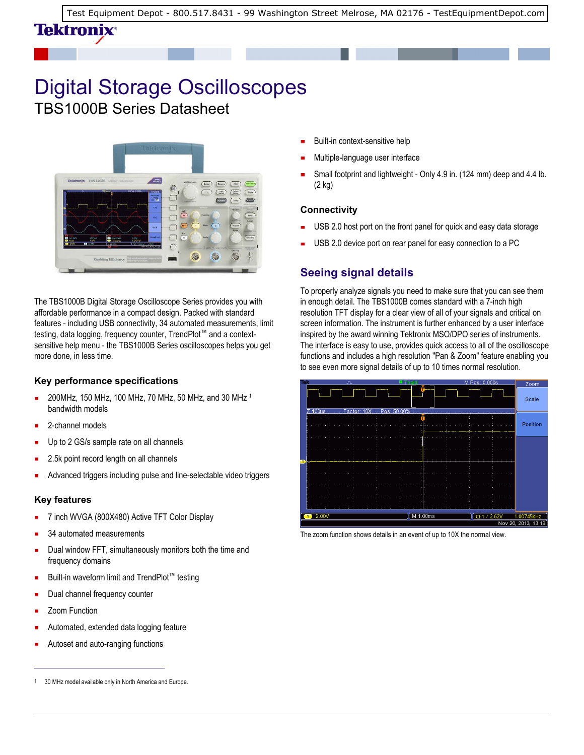[Test Equipment Depot - 800.517.8431 - 99 Washington Street Melrose, MA 02176 - TestEquipmentDepot.com](http://www.testequipmentdepot.com/) 

## Digital Storage Oscilloscopes TBS1000B Series Datasheet



The TBS1000B Digital Storage Oscilloscope Series provides you with affordable performance in a compact design. Packed with standard features - including USB connectivity, 34 automated measurements, limit testing, data logging, frequency counter, TrendPlot™ and a contextsensitive help menu - the TBS1000B Series oscilloscopes helps you get more done, in less time.

#### **Key performance specifications**

- 200MHz, 150 MHz, 100 MHz, 70 MHz, 50 MHz, and 30 MHz <sup>1</sup> É bandwidth models
- 2-channel models

Tektronix<sup>。</sup>

- Up to 2 GS/s sample rate on all channels
- 2.5k point record length on all channels
- Advanced triggers including pulse and line-selectable video triggers

#### **Key features**

- 7 inch WVGA (800X480) Active TFT Color Display
- 34 automated measurements
- Dual window FFT, simultaneously monitors both the time and frequency domains
- Built-in waveform limit and TrendPlot™ testing
- Dual channel frequency counter
- Zoom Function
- Automated, extended data logging feature
- Autoset and auto-ranging functions
- Built-in context-sensitive help
- Multiple-language user interface
- Small footprint and lightweight Only 4.9 in. (124 mm) deep and 4.4 lb. (2 kg)

#### **Connectivity**

- USB 2.0 host port on the front panel for quick and easy data storage
- USB 2.0 device port on rear panel for easy connection to a PC

## **Seeing signal details**

To properly analyze signals you need to make sure that you can see them in enough detail. The TBS1000B comes standard with a 7-inch high resolution TFT display for a clear view of all of your signals and critical on screen information. The instrument is further enhanced by a user interface inspired by the award winning Tektronix MSO/DPO series of instruments. The interface is easy to use, provides quick access to all of the oscilloscope functions and includes a high resolution "Pan & Zoom" feature enabling you to see even more signal details of up to 10 times normal resolution.



The zoom function shows details in an event of up to 10X the normal view.

<sup>1</sup> 30 MHz model available only in North America and Europe.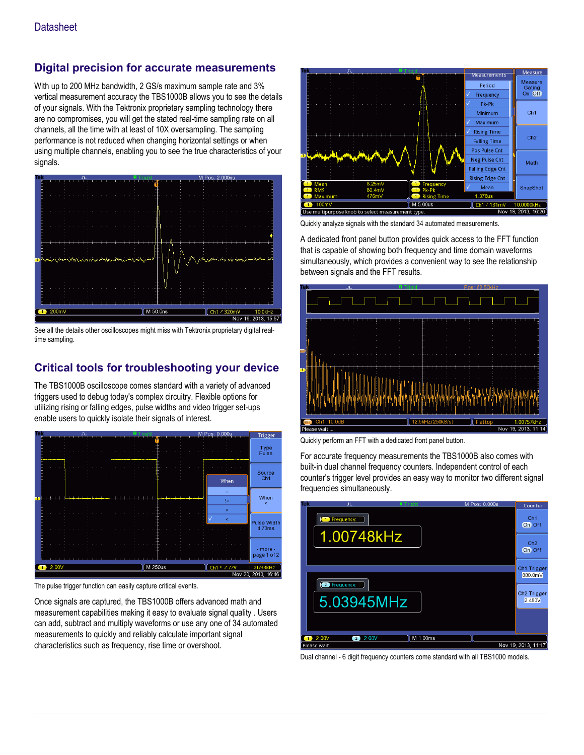## **Digital precision for accurate measurements**

With up to 200 MHz bandwidth, 2 GS/s maximum sample rate and 3% vertical measurement accuracy the TBS1000B allows you to see the details of your signals. With the Tektronix proprietary sampling technology there are no compromises, you will get the stated real-time sampling rate on all channels, all the time with at least of 10X oversampling. The sampling performance is not reduced when changing horizontal settings or when using multiple channels, enabling you to see the true characteristics of your signals.



See all the details other oscilloscopes might miss with Tektronix proprietary digital realtime sampling.

## **Critical tools for troubleshooting your device**

The TBS1000B oscilloscope comes standard with a variety of advanced triggers used to debug today's complex circuitry. Flexible options for utilizing rising or falling edges, pulse widths and video trigger set-ups enable users to quickly isolate their signals of interest.



The pulse trigger function can easily capture critical events.

Once signals are captured, the TBS1000B offers advanced math and measurement capabilities making it easy to evaluate signal quality . Users can add, subtract and multiply waveforms or use any one of 34 automated measurements to quickly and reliably calculate important signal characteristics such as frequency, rise time or overshoot.



Quickly analyze signals with the standard 34 automated measurements.

A dedicated front panel button provides quick access to the FFT function that is capable of showing both frequency and time domain waveforms simultaneously, which provides a convenient way to see the relationship between signals and the FFT results.



Quickly perform an FFT with a dedicated front panel button.

For accurate frequency measurements the TBS1000B also comes with built-in dual channel frequency counters. Independent control of each counter's trigger level provides an easy way to monitor two different signal frequencies simultaneously.



Dual channel - 6 digit frequency counters come standard with all TBS1000 models.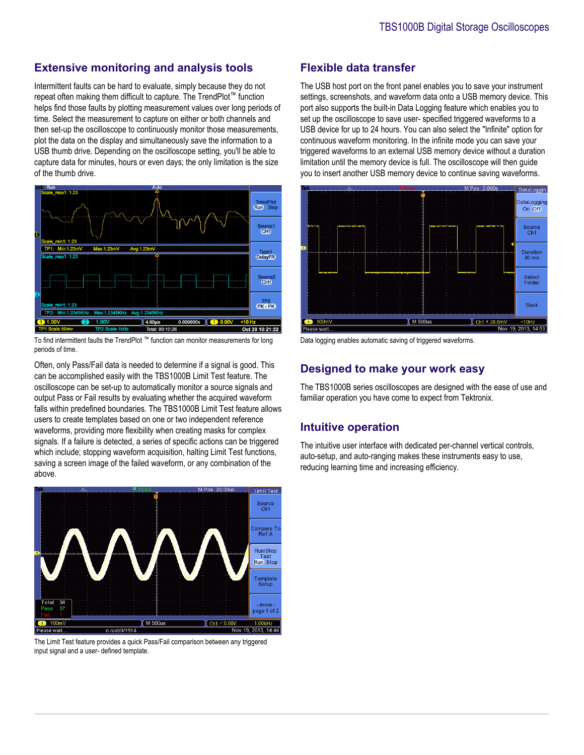#### **Extensive monitoring and analysis tools**

Intermittent faults can be hard to evaluate, simply because they do not repeat often making them difficult to capture. The TrendPlot™ function helps find those faults by plotting measurement values over long periods of time. Select the measurement to capture on either or both channels and then set-up the oscilloscope to continuously monitor those measurements, plot the data on the display and simultaneously save the information to a USB thumb drive. Depending on the oscilloscope setting, you'll be able to capture data for minutes, hours or even days; the only limitation is the size of the thumb drive.



To find intermittent faults the TrendPlot ™ function can monitor measurements for long periods of time.

Often, only Pass/Fail data is needed to determine if a signal is good. This can be accomplished easily with the TBS1000B Limit Test feature. The oscilloscope can be set-up to automatically monitor a source signals and output Pass or Fail results by evaluating whether the acquired waveform falls within predefined boundaries. The TBS1000B Limit Test feature allows users to create templates based on one or two independent reference waveforms, providing more flexibility when creating masks for complex signals. If a failure is detected, a series of specific actions can be triggered which include; stopping waveform acquisition, halting Limit Test functions, saving a screen image of the failed waveform, or any combination of the above.



The Limit Test feature provides a quick Pass/Fail comparison between any triggered input signal and a user- defined template.

#### **Flexible data transfer**

The USB host port on the front panel enables you to save your instrument settings, screenshots, and waveform data onto a USB memory device. This port also supports the built-in Data Logging feature which enables you to set up the oscilloscope to save user- specified triggered waveforms to a USB device for up to 24 hours. You can also select the "Infinite" option for continuous waveform monitoring. In the infinite mode you can save your triggered waveforms to an external USB memory device without a duration limitation until the memory device is full. The oscilloscope will then guide you to insert another USB memory device to continue saving waveforms.



Data logging enables automatic saving of triggered waveforms.

## **Designed to make your work easy**

The TBS1000B series oscilloscopes are designed with the ease of use and familiar operation you have come to expect from Tektronix.

#### **Intuitive operation**

The intuitive user interface with dedicated per-channel vertical controls, auto-setup, and auto-ranging makes these instruments easy to use, reducing learning time and increasing efficiency.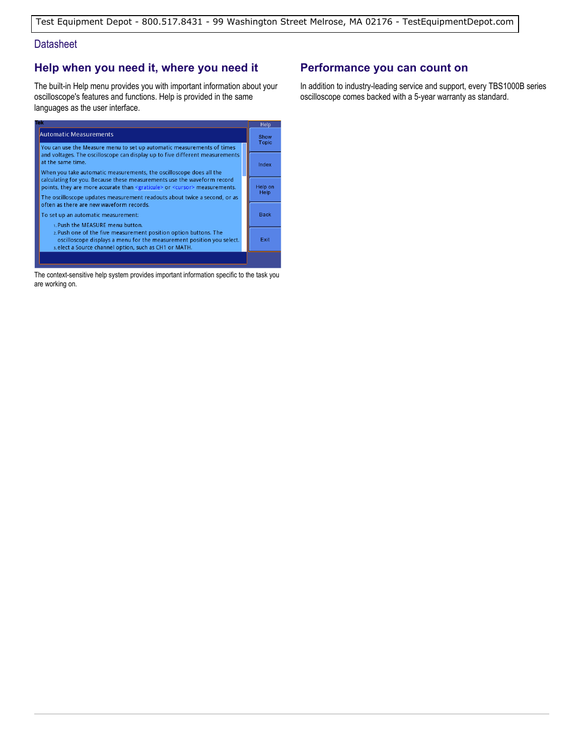#### **Datasheet**

## **Help when you need it, where you need it**

The built-in Help menu provides you with important information about your oscilloscope's features and functions. Help is provided in the same languages as the user interface.



The context-sensitive help system provides important information specific to the task you are working on.

### **Performance you can count on**

In addition to industry-leading service and support, every TBS1000B series oscilloscope comes backed with a 5-year warranty as standard.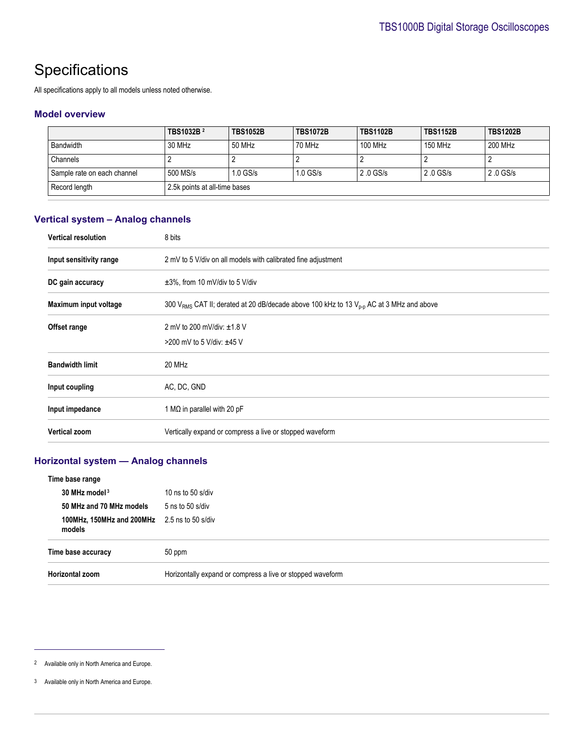## **Specifications**

All specifications apply to all models unless noted otherwise.

#### **Model overview**

|                             | TBS1032B <sup>2</sup>         | <b>TBS1052B</b> | <b>TBS1072B</b> | <b>TBS1102B</b> | <b>TBS1152B</b> | <b>TBS1202B</b> |
|-----------------------------|-------------------------------|-----------------|-----------------|-----------------|-----------------|-----------------|
| <b>Bandwidth</b>            | 30 MHz                        | 50 MHz          | 70 MHz          | 100 MHz         | 150 MHz         | 200 MHz         |
| Channels                    |                               |                 |                 |                 |                 |                 |
| Sample rate on each channel | 500 MS/s                      | $1.0$ GS/s      | $1.0$ GS/s      | $2.0$ GS/s      | $2.0$ GS/s      | 2.0 GS/s        |
| Record length               | 2.5k points at all-time bases |                 |                 |                 |                 |                 |

#### **Vertical system – Analog channels**

| <b>Vertical resolution</b> | 8 bits                                                                                                          |
|----------------------------|-----------------------------------------------------------------------------------------------------------------|
| Input sensitivity range    | 2 mV to 5 V/div on all models with calibrated fine adjustment                                                   |
| DC gain accuracy           | $\pm 3\%$ , from 10 mV/div to 5 V/div                                                                           |
| Maximum input voltage      | 300 V <sub>RMS</sub> CAT II; derated at 20 dB/decade above 100 kHz to 13 V <sub>p-D</sub> AC at 3 MHz and above |
| Offset range               | 2 mV to 200 mV/div: ±1.8 V                                                                                      |
|                            | >200 mV to 5 V/div: $±45$ V                                                                                     |
| <b>Bandwidth limit</b>     | 20 MHz                                                                                                          |
| Input coupling             | AC, DC, GND                                                                                                     |
| Input impedance            | 1 M $\Omega$ in parallel with 20 pF                                                                             |
| <b>Vertical zoom</b>       | Vertically expand or compress a live or stopped waveform                                                        |

#### **Horizontal system — Analog channels**

| Time base range                                               |                                                            |
|---------------------------------------------------------------|------------------------------------------------------------|
| 30 MHz model <sup>3</sup>                                     | 10 ns to 50 s/div                                          |
| 50 MHz and 70 MHz models                                      | $5$ ns to $50$ s/div                                       |
| <b>100MHz, 150MHz and 200MHz</b> 2.5 ns to 50 s/div<br>models |                                                            |
| Time base accuracy                                            | 50 ppm                                                     |
| Horizontal zoom                                               | Horizontally expand or compress a live or stopped waveform |

<sup>2</sup> Available only in North America and Europe.

<sup>3</sup> Available only in North America and Europe.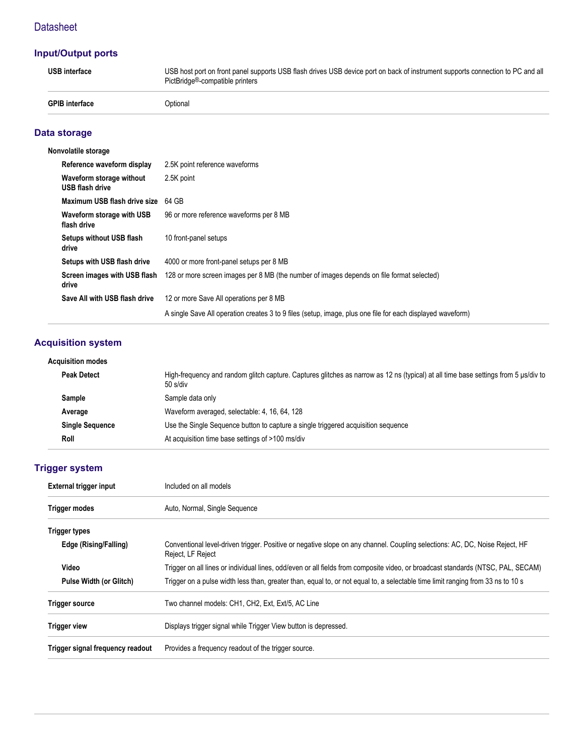## **Datasheet**

## **Input/Output ports**

| <b>USB</b> interface  | USB host port on front panel supports USB flash drives USB device port on back of instrument supports connection to PC and all<br>PictBridge <sup>®</sup> -compatible printers |
|-----------------------|--------------------------------------------------------------------------------------------------------------------------------------------------------------------------------|
| <b>GPIB</b> interface | Optional                                                                                                                                                                       |

## **Data storage**

| Nonvolatile storage                                |                                                                                                            |
|----------------------------------------------------|------------------------------------------------------------------------------------------------------------|
| Reference waveform display                         | 2.5K point reference waveforms                                                                             |
| Waveform storage without<br><b>USB flash drive</b> | 2.5K point                                                                                                 |
| Maximum USB flash drive size                       | 64 GB                                                                                                      |
| Waveform storage with USB<br>flash drive           | 96 or more reference waveforms per 8 MB                                                                    |
| <b>Setups without USB flash</b><br>drive           | 10 front-panel setups                                                                                      |
| Setups with USB flash drive                        | 4000 or more front-panel setups per 8 MB                                                                   |
| Screen images with USB flash<br>drive              | 128 or more screen images per 8 MB (the number of images depends on file format selected)                  |
| Save All with USB flash drive                      | 12 or more Save All operations per 8 MB                                                                    |
|                                                    | A single Save All operation creates 3 to 9 files (setup, image, plus one file for each displayed waveform) |

## **Acquisition system**

| Acquisition modes      |                                                                                                                                                 |
|------------------------|-------------------------------------------------------------------------------------------------------------------------------------------------|
| <b>Peak Detect</b>     | High-frequency and random glitch capture. Captures glitches as narrow as 12 ns (typical) at all time base settings from 5 µs/div to<br>50 s/div |
| Sample                 | Sample data only                                                                                                                                |
| Average                | Waveform averaged, selectable: 4, 16, 64, 128                                                                                                   |
| <b>Single Sequence</b> | Use the Single Sequence button to capture a single triggered acquisition sequence                                                               |
| Roll                   | At acquisition time base settings of >100 ms/div                                                                                                |
|                        |                                                                                                                                                 |

## **Trigger system**

| <b>External trigger input</b>    | Included on all models                                                                                                                           |  |  |
|----------------------------------|--------------------------------------------------------------------------------------------------------------------------------------------------|--|--|
| Trigger modes                    | Auto, Normal, Single Sequence                                                                                                                    |  |  |
| <b>Trigger types</b>             |                                                                                                                                                  |  |  |
| Edge (Rising/Falling)            | Conventional level-driven trigger. Positive or negative slope on any channel. Coupling selections: AC, DC, Noise Reject, HF<br>Reject, LF Reject |  |  |
| Video                            | Trigger on all lines or individual lines, odd/even or all fields from composite video, or broadcast standards (NTSC, PAL, SECAM)                 |  |  |
| <b>Pulse Width (or Glitch)</b>   | Trigger on a pulse width less than, greater than, equal to, or not equal to, a selectable time limit ranging from 33 ns to 10 s                  |  |  |
| <b>Trigger source</b>            | Two channel models: CH1, CH2, Ext, Ext/5, AC Line                                                                                                |  |  |
| <b>Trigger view</b>              | Displays trigger signal while Trigger View button is depressed.                                                                                  |  |  |
| Trigger signal frequency readout | Provides a frequency readout of the trigger source.                                                                                              |  |  |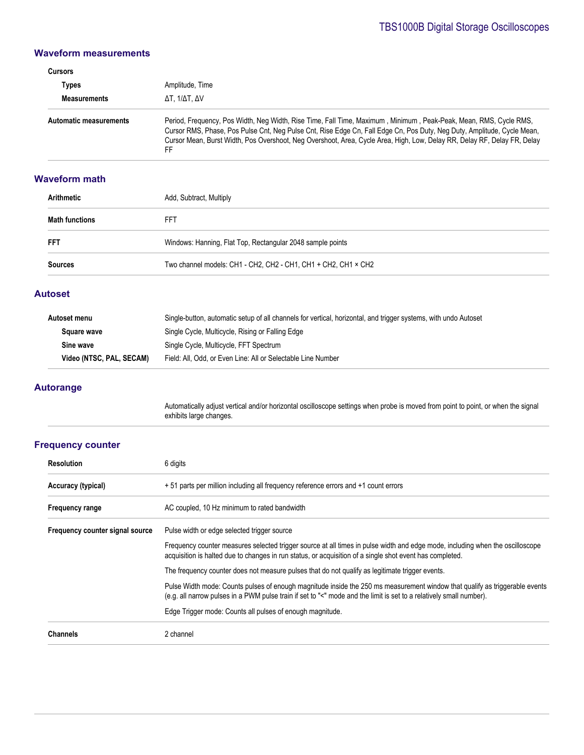#### **Waveform measurements**

| Cursors                       |                                                                                                                                                                                                                                                                                                                                                                                |
|-------------------------------|--------------------------------------------------------------------------------------------------------------------------------------------------------------------------------------------------------------------------------------------------------------------------------------------------------------------------------------------------------------------------------|
| Types                         | Amplitude, Time                                                                                                                                                                                                                                                                                                                                                                |
| <b>Measurements</b>           | ΔΤ. 1/ΔΤ. ΔV                                                                                                                                                                                                                                                                                                                                                                   |
| <b>Automatic measurements</b> | Period, Frequency, Pos Width, Neq Width, Rise Time, Fall Time, Maximum, Minimum, Peak-Peak, Mean, RMS, Cycle RMS,<br>Cursor RMS, Phase, Pos Pulse Cnt, Neg Pulse Cnt, Rise Edge Cn, Fall Edge Cn, Pos Duty, Neg Duty, Amplitude, Cycle Mean,<br>Cursor Mean, Burst Width, Pos Overshoot, Neg Overshoot, Area, Cycle Area, High, Low, Delay RR, Delay RF, Delay FR, Delay<br>FF |

#### **Waveform math**

| Arithmetic            | Add, Subtract, Multiply                                        |  |
|-----------------------|----------------------------------------------------------------|--|
| <b>Math functions</b> | FFT                                                            |  |
| <b>FFT</b>            | Windows: Hanning, Flat Top, Rectangular 2048 sample points     |  |
| <b>Sources</b>        | Two channel models: CH1 - CH2, CH2 - CH1, CH1 + CH2, CH1 × CH2 |  |

#### **Autoset**

| Autoset menu             | Single-button, automatic setup of all channels for vertical, horizontal, and trigger systems, with undo Autoset |
|--------------------------|-----------------------------------------------------------------------------------------------------------------|
| Square wave              | Single Cycle, Multicycle, Rising or Falling Edge                                                                |
| Sine wave                | Single Cycle, Multicycle, FFT Spectrum                                                                          |
| Video (NTSC, PAL, SECAM) | Field: All, Odd, or Even Line: All or Selectable Line Number                                                    |

#### **Autorange**

Automatically adjust vertical and/or horizontal oscilloscope settings when probe is moved from point to point, or when the signal exhibits large changes.

## **Frequency counter**

| <b>Resolution</b>               | 6 digits                                                                                                                                                                                                                                           |
|---------------------------------|----------------------------------------------------------------------------------------------------------------------------------------------------------------------------------------------------------------------------------------------------|
| Accuracy (typical)              | + 51 parts per million including all frequency reference errors and +1 count errors                                                                                                                                                                |
| <b>Frequency range</b>          | AC coupled, 10 Hz minimum to rated bandwidth                                                                                                                                                                                                       |
| Frequency counter signal source | Pulse width or edge selected trigger source                                                                                                                                                                                                        |
|                                 | Frequency counter measures selected trigger source at all times in pulse width and edge mode, including when the oscilloscope<br>acquisition is halted due to changes in run status, or acquisition of a single shot event has completed.          |
|                                 | The frequency counter does not measure pulses that do not qualify as legitimate trigger events.                                                                                                                                                    |
|                                 | Pulse Width mode: Counts pulses of enough magnitude inside the 250 ms measurement window that qualify as triggerable events<br>(e.g. all narrow pulses in a PWM pulse train if set to "<" mode and the limit is set to a relatively small number). |
|                                 | Edge Trigger mode: Counts all pulses of enough magnitude.                                                                                                                                                                                          |
| <b>Channels</b>                 | 2 channel                                                                                                                                                                                                                                          |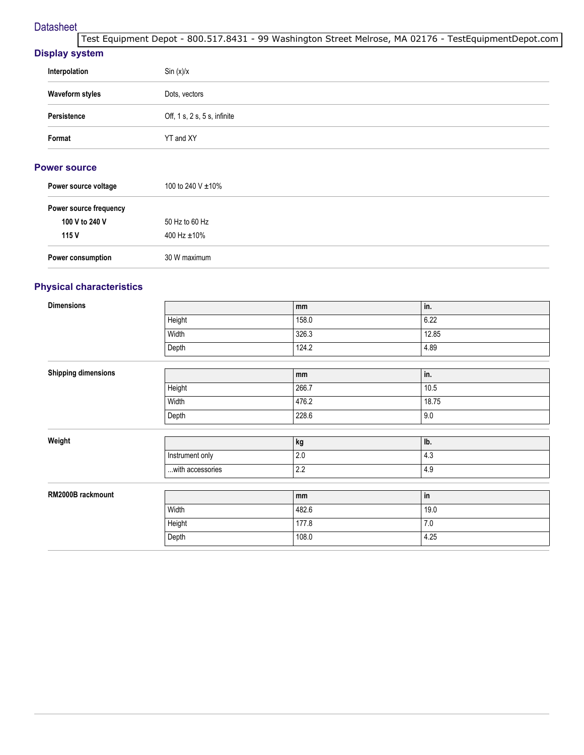#### **Datasheet**

[Test Equipment Depot - 800.517.8431 - 99 Washington Street Melrose, MA 02176 - TestEquipmentDepot.com](http://www.testequipmentdepot.com/) 

#### **Display system**

| Interpolation          | Sin(x)/x                              |
|------------------------|---------------------------------------|
| <b>Waveform styles</b> | Dots, vectors                         |
| Persistence            | Off, $1 s$ , $2 s$ , $5 s$ , infinite |
| Format                 | YT and XY                             |

#### **Power source**

| Power source voltage   | 100 to 240 V $\pm$ 10% |
|------------------------|------------------------|
| Power source frequency |                        |
| 100 V to 240 V         | 50 Hz to 60 Hz         |
| 115 V                  | 400 Hz $\pm$ 10%       |
| Power consumption      | 30 W maximum           |

## **Physical characteristics**

| <b>Dimensions</b>          |                  | mm      | in.     |
|----------------------------|------------------|---------|---------|
|                            | Height           | 158.0   | 6.22    |
|                            | Width            | 326.3   | 12.85   |
|                            | Depth            | 124.2   | 4.89    |
|                            |                  |         |         |
| <b>Shipping dimensions</b> |                  | mm      | in.     |
|                            | Height           | 266.7   | 10.5    |
|                            | Width            | 476.2   | 18.75   |
|                            | Depth            | 228.6   | 9.0     |
|                            |                  |         |         |
| Weight                     |                  | kg      | lb.     |
|                            | Instrument only  | $2.0\,$ | 4.3     |
|                            | with accessories | 2.2     | 4.9     |
|                            |                  |         |         |
| RM2000B rackmount          |                  | mm      | in      |
|                            | Width            | 482.6   | 19.0    |
|                            | Height           | 177.8   | $7.0\,$ |
|                            | Depth            | 108.0   | 4.25    |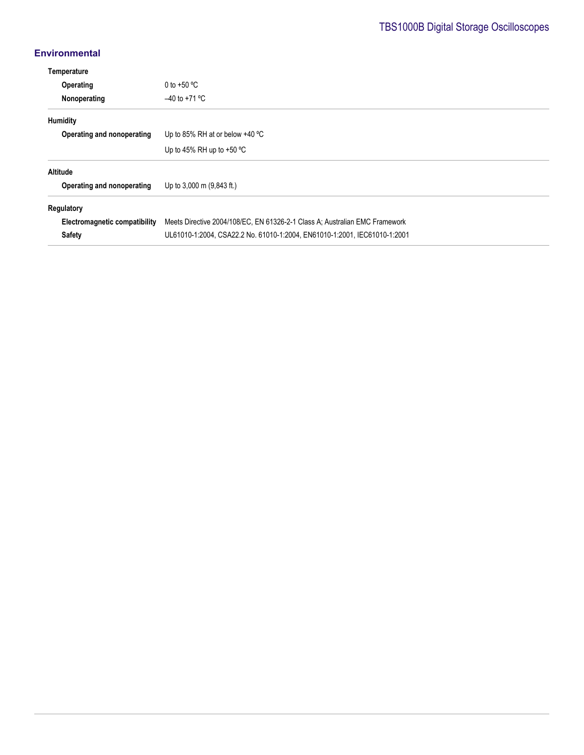## **Environmental**

| Temperature                          |                                                                             |  |
|--------------------------------------|-----------------------------------------------------------------------------|--|
| Operating                            | 0 to +50 $^{\circ}$ C                                                       |  |
| Nonoperating                         | $-40$ to +71 °C                                                             |  |
| <b>Humidity</b>                      |                                                                             |  |
| Operating and nonoperating           | Up to 85% RH at or below $+40$ °C                                           |  |
|                                      | Up to 45% RH up to $+50$ °C                                                 |  |
| Altitude                             |                                                                             |  |
| Operating and nonoperating           | Up to 3,000 m (9,843 ft.)                                                   |  |
| Regulatory                           |                                                                             |  |
| <b>Electromagnetic compatibility</b> | Meets Directive 2004/108/EC, EN 61326-2-1 Class A; Australian EMC Framework |  |
| <b>Safety</b>                        | UL61010-1:2004, CSA22.2 No. 61010-1:2004, EN61010-1:2001, IEC61010-1:2001   |  |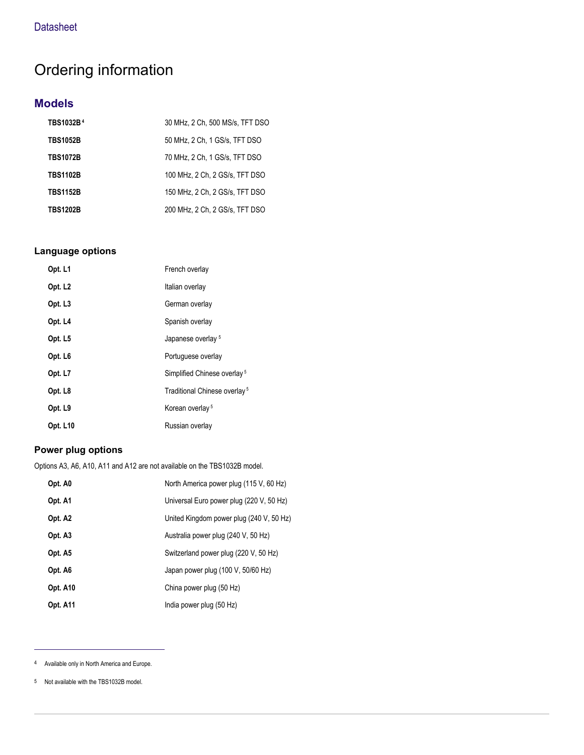## Ordering information

## **Models**

| TBS1032B <sup>4</sup> | 30 MHz, 2 Ch, 500 MS/s, TFT DSO |
|-----------------------|---------------------------------|
| <b>TBS1052B</b>       | 50 MHz, 2 Ch, 1 GS/s, TFT DSO   |
| <b>TBS1072B</b>       | 70 MHz, 2 Ch, 1 GS/s, TFT DSO   |
| <b>TBS1102B</b>       | 100 MHz. 2 Ch. 2 GS/s. TFT DSO  |
| <b>TBS1152B</b>       | 150 MHz. 2 Ch. 2 GS/s. TFT DSO  |
| <b>TBS1202B</b>       | 200 MHz, 2 Ch, 2 GS/s, TFT DSO  |

#### **Language options**

| Opt. L1             | French overlay                           |
|---------------------|------------------------------------------|
| Opt. L <sub>2</sub> | Italian overlay                          |
| Opt. L <sub>3</sub> | German overlay                           |
| Opt. L4             | Spanish overlay                          |
| Opt. L5             | Japanese overlay <sup>5</sup>            |
| Opt. L <sub>6</sub> | Portuguese overlay                       |
| Opt. L7             | Simplified Chinese overlay <sup>5</sup>  |
| Opt. L8             | Traditional Chinese overlay <sup>5</sup> |
| Opt. L9             | Korean overlay <sup>5</sup>              |
| <b>Opt. L10</b>     | Russian overlay                          |

## **Power plug options**

Options A3, A6, A10, A11 and A12 are not available on the TBS1032B model.

| Opt. A0         | North America power plug (115 V, 60 Hz)  |
|-----------------|------------------------------------------|
| Opt. A1         | Universal Euro power plug (220 V, 50 Hz) |
| Opt. A2         | United Kingdom power plug (240 V, 50 Hz) |
| Opt. A3         | Australia power plug (240 V, 50 Hz)      |
| Opt. A5         | Switzerland power plug (220 V, 50 Hz)    |
| Opt. A6         | Japan power plug (100 V, 50/60 Hz)       |
| Opt. A10        | China power plug (50 Hz)                 |
| <b>Opt. A11</b> | India power plug (50 Hz)                 |

<sup>4</sup> Available only in North America and Europe.

<sup>5</sup> Not available with the TBS1032B model.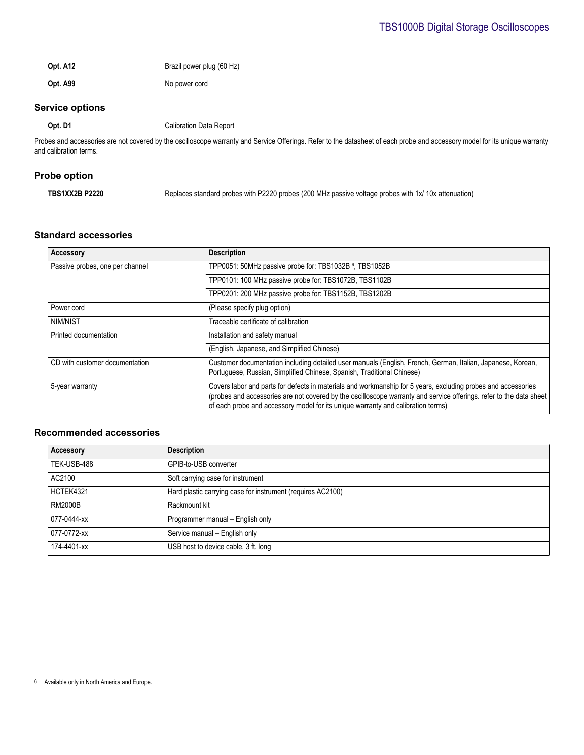**Opt. A12** Brazil power plug (60 Hz) **Opt. A99** No power cord

## **Service options**

**Opt. D1** Calibration Data Report

Probes and accessories are not covered by the oscilloscope warranty and Service Offerings. Refer to the datasheet of each probe and accessory model for its unique warranty and calibration terms.

#### **Probe option**

| Replaces standard probes with P2220 probes (200 MHz passive voltage probes with 1x/ 10x attenuation) |
|------------------------------------------------------------------------------------------------------|
|                                                                                                      |

#### **Standard accessories**

| <b>Accessory</b>                | <b>Description</b>                                                                                                                                                                                                                                                                                                       |
|---------------------------------|--------------------------------------------------------------------------------------------------------------------------------------------------------------------------------------------------------------------------------------------------------------------------------------------------------------------------|
| Passive probes, one per channel | TPP0051: 50MHz passive probe for: TBS1032B <sup>6</sup> , TBS1052B                                                                                                                                                                                                                                                       |
|                                 | TPP0101: 100 MHz passive probe for: TBS1072B, TBS1102B                                                                                                                                                                                                                                                                   |
|                                 | TPP0201: 200 MHz passive probe for: TBS1152B, TBS1202B                                                                                                                                                                                                                                                                   |
| Power cord                      | (Please specify plug option)                                                                                                                                                                                                                                                                                             |
| NIM/NIST                        | Traceable certificate of calibration                                                                                                                                                                                                                                                                                     |
| Printed documentation           | Installation and safety manual                                                                                                                                                                                                                                                                                           |
|                                 | (English, Japanese, and Simplified Chinese)                                                                                                                                                                                                                                                                              |
| CD with customer documentation  | Customer documentation including detailed user manuals (English, French, German, Italian, Japanese, Korean,<br>Portuguese, Russian, Simplified Chinese, Spanish, Traditional Chinese)                                                                                                                                    |
| 5-year warranty                 | Covers labor and parts for defects in materials and workmanship for 5 years, excluding probes and accessories<br>(probes and accessories are not covered by the oscilloscope warranty and service offerings, refer to the data sheet<br>of each probe and accessory model for its unique warranty and calibration terms) |

#### **Recommended accessories**

| Accessory      | <b>Description</b>                                          |
|----------------|-------------------------------------------------------------|
| TEK-USB-488    | GPIB-to-USB converter                                       |
| AC2100         | Soft carrying case for instrument                           |
| HCTEK4321      | Hard plastic carrying case for instrument (requires AC2100) |
| <b>RM2000B</b> | Rackmount kit                                               |
| 077-0444-xx    | Programmer manual - English only                            |
| 077-0772-xx    | Service manual - English only                               |
| 174-4401-xx    | USB host to device cable, 3 ft. long                        |

<sup>6</sup> Available only in North America and Europe.